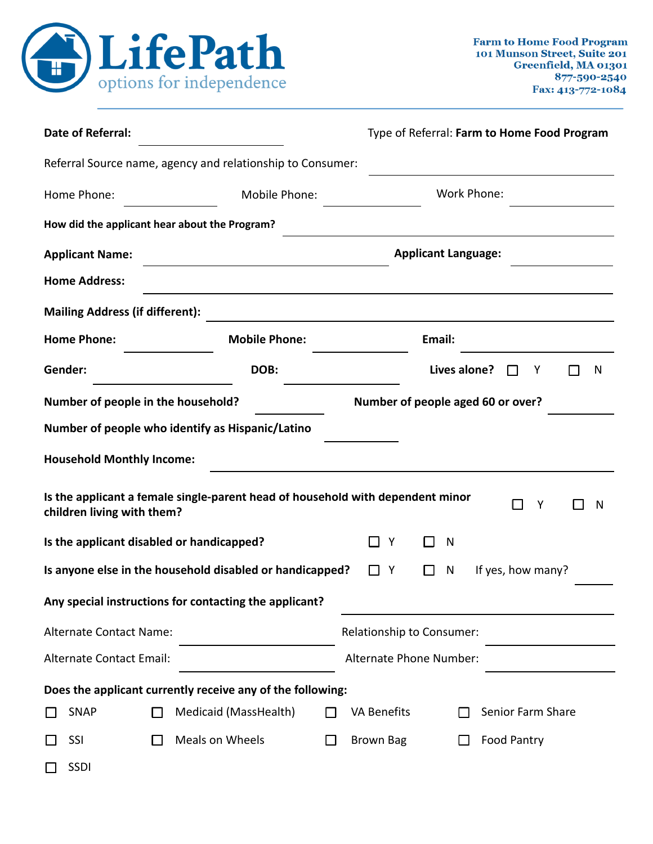

| <b>Date of Referral:</b>                   | Type of Referral: Farm to Home Food Program |                                                                                |                            |                                   |              |             |                    |   |  |   |
|--------------------------------------------|---------------------------------------------|--------------------------------------------------------------------------------|----------------------------|-----------------------------------|--------------|-------------|--------------------|---|--|---|
|                                            |                                             | Referral Source name, agency and relationship to Consumer:                     |                            |                                   |              |             |                    |   |  |   |
| Home Phone:                                |                                             | Mobile Phone:                                                                  |                            |                                   |              | Work Phone: |                    |   |  |   |
|                                            |                                             | How did the applicant hear about the Program?                                  |                            |                                   |              |             |                    |   |  |   |
| <b>Applicant Name:</b>                     |                                             |                                                                                | <b>Applicant Language:</b> |                                   |              |             |                    |   |  |   |
| <b>Home Address:</b>                       |                                             | <u> 1980 - Johann Stoff, amerikansk politiker (d. 1980)</u>                    |                            |                                   |              |             |                    |   |  |   |
| <b>Mailing Address (if different):</b>     |                                             |                                                                                |                            |                                   |              |             |                    |   |  |   |
| <b>Home Phone:</b><br><b>Mobile Phone:</b> |                                             |                                                                                |                            |                                   | Email:       |             |                    |   |  |   |
| Gender:                                    |                                             | DOB:                                                                           |                            |                                   | Lives alone? |             |                    | Y |  | N |
| Number of people in the household?         |                                             |                                                                                |                            | Number of people aged 60 or over? |              |             |                    |   |  |   |
|                                            |                                             | Number of people who identify as Hispanic/Latino                               |                            |                                   |              |             |                    |   |  |   |
| <b>Household Monthly Income:</b>           |                                             |                                                                                |                            |                                   |              |             |                    |   |  |   |
| children living with them?                 |                                             | Is the applicant a female single-parent head of household with dependent minor |                            |                                   |              |             |                    | Υ |  | N |
| Is the applicant disabled or handicapped?  |                                             |                                                                                |                            | Y                                 | N            |             |                    |   |  |   |
|                                            |                                             | Is anyone else in the household disabled or handicapped?                       |                            | Y                                 | N            |             | If yes, how many?  |   |  |   |
|                                            |                                             | Any special instructions for contacting the applicant?                         |                            |                                   |              |             |                    |   |  |   |
| Alternate Contact Name:                    |                                             |                                                                                |                            | Relationship to Consumer:         |              |             |                    |   |  |   |
| Alternate Contact Email:                   |                                             |                                                                                | Alternate Phone Number:    |                                   |              |             |                    |   |  |   |
|                                            |                                             | Does the applicant currently receive any of the following:                     |                            |                                   |              |             |                    |   |  |   |
| <b>SNAP</b>                                |                                             | Medicaid (MassHealth)                                                          |                            | <b>VA Benefits</b>                |              |             | Senior Farm Share  |   |  |   |
| SSI                                        |                                             | Meals on Wheels                                                                |                            | <b>Brown Bag</b>                  |              |             | <b>Food Pantry</b> |   |  |   |
| <b>SSDI</b>                                |                                             |                                                                                |                            |                                   |              |             |                    |   |  |   |